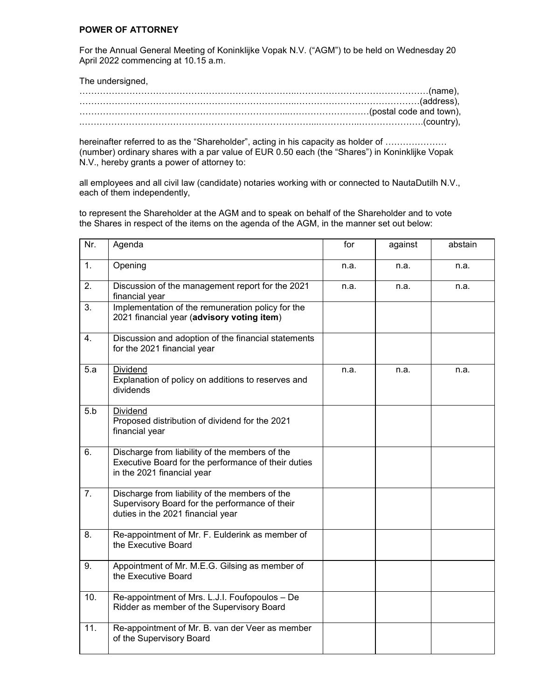## **POWER OF ATTORNEY**

For the Annual General Meeting of Koninklijke Vopak N.V. ("AGM") to be held on Wednesday 20 April 2022 commencing at 10.15 a.m.

| The undersigned, |  |
|------------------|--|
|                  |  |
|                  |  |
|                  |  |
|                  |  |

hereinafter referred to as the "Shareholder", acting in his capacity as holder of ...................... (number) ordinary shares with a par value of EUR 0.50 each (the "Shares") in Koninklijke Vopak N.V., hereby grants a power of attorney to:

all employees and all civil law (candidate) notaries working with or connected to NautaDutilh N.V., each of them independently,

to represent the Shareholder at the AGM and to speak on behalf of the Shareholder and to vote the Shares in respect of the items on the agenda of the AGM, in the manner set out below:

| Nr. | Agenda                                                                                                                                | for  | against | abstain |
|-----|---------------------------------------------------------------------------------------------------------------------------------------|------|---------|---------|
| 1.  | Opening                                                                                                                               | n.a. | n.a.    | n.a.    |
| 2.  | Discussion of the management report for the 2021<br>financial year                                                                    | n.a. | n.a.    | n.a.    |
| 3.  | Implementation of the remuneration policy for the<br>2021 financial year (advisory voting item)                                       |      |         |         |
| 4.  | Discussion and adoption of the financial statements<br>for the 2021 financial year                                                    |      |         |         |
| 5.a | Dividend<br>Explanation of policy on additions to reserves and<br>dividends                                                           | n.a. | n.a.    | n.a.    |
| 5.b | Dividend<br>Proposed distribution of dividend for the 2021<br>financial year                                                          |      |         |         |
| 6.  | Discharge from liability of the members of the<br>Executive Board for the performance of their duties<br>in the 2021 financial year   |      |         |         |
| 7.  | Discharge from liability of the members of the<br>Supervisory Board for the performance of their<br>duties in the 2021 financial year |      |         |         |
| 8.  | Re-appointment of Mr. F. Eulderink as member of<br>the Executive Board                                                                |      |         |         |
| 9.  | Appointment of Mr. M.E.G. Gilsing as member of<br>the Executive Board                                                                 |      |         |         |
| 10. | Re-appointment of Mrs. L.J.I. Foufopoulos - De<br>Ridder as member of the Supervisory Board                                           |      |         |         |
| 11. | Re-appointment of Mr. B. van der Veer as member<br>of the Supervisory Board                                                           |      |         |         |